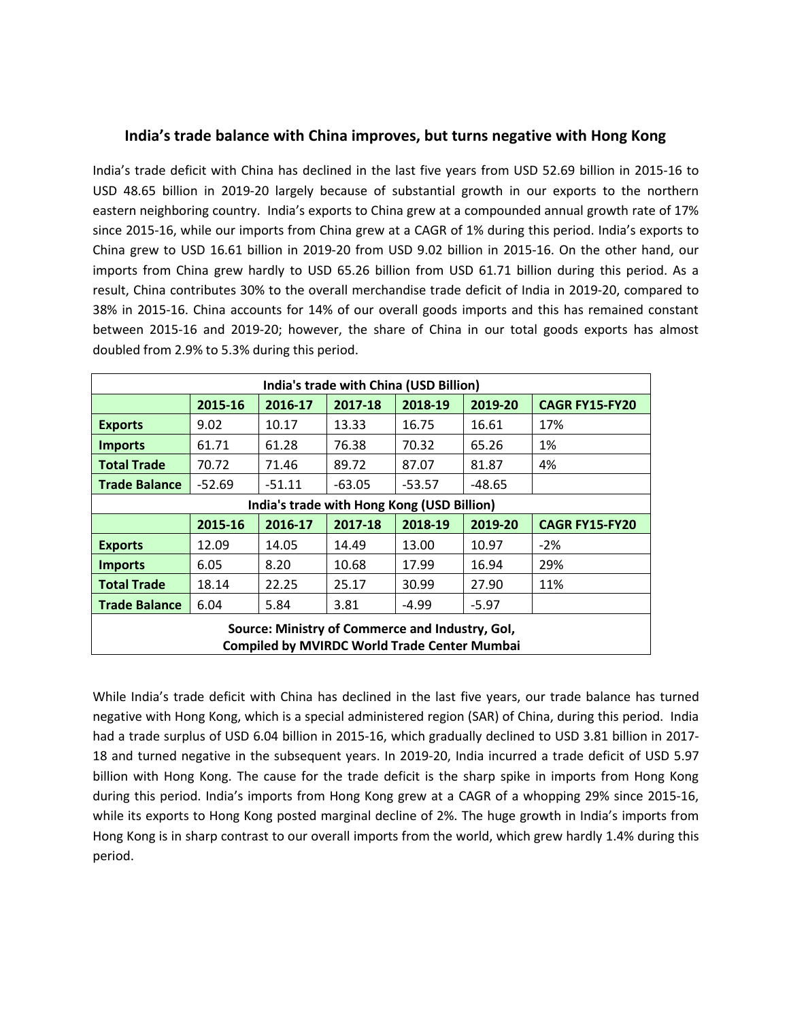## **India's trade balance with China improves, but turns negative with Hong Kong**

India's trade deficit with China has declined in the last five years from USD 52.69 billion in 2015-16 to USD 48.65 billion in 2019-20 largely because of substantial growth in our exports to the northern eastern neighboring country. India's exports to China grew at a compounded annual growth rate of 17% since 2015-16, while our imports from China grew at a CAGR of 1% during this period. India's exports to China grew to USD 16.61 billion in 2019-20 from USD 9.02 billion in 2015-16. On the other hand, our imports from China grew hardly to USD 65.26 billion from USD 61.71 billion during this period. As a result, China contributes 30% to the overall merchandise trade deficit of India in 2019-20, compared to 38% in 2015-16. China accounts for 14% of our overall goods imports and this has remained constant between 2015-16 and 2019-20; however, the share of China in our totalgoods exports has almost doubled from 2.9% to 5.3% during this period.

| India's trade with China (USD Billion)              |          |          |          |          |         |                       |
|-----------------------------------------------------|----------|----------|----------|----------|---------|-----------------------|
|                                                     | 2015-16  | 2016-17  | 2017-18  | 2018-19  | 2019-20 | <b>CAGR FY15-FY20</b> |
| <b>Exports</b>                                      | 9.02     | 10.17    | 13.33    | 16.75    | 16.61   | 17%                   |
| <b>Imports</b>                                      | 61.71    | 61.28    | 76.38    | 70.32    | 65.26   | 1%                    |
| <b>Total Trade</b>                                  | 70.72    | 71.46    | 89.72    | 87.07    | 81.87   | 4%                    |
| <b>Trade Balance</b>                                | $-52.69$ | $-51.11$ | $-63.05$ | $-53.57$ | -48.65  |                       |
| India's trade with Hong Kong (USD Billion)          |          |          |          |          |         |                       |
|                                                     | 2015-16  | 2016-17  | 2017-18  | 2018-19  | 2019-20 | <b>CAGR FY15-FY20</b> |
| <b>Exports</b>                                      | 12.09    | 14.05    | 14.49    | 13.00    | 10.97   | $-2\%$                |
| <b>Imports</b>                                      | 6.05     | 8.20     | 10.68    | 17.99    | 16.94   | 29%                   |
| <b>Total Trade</b>                                  | 18.14    | 22.25    | 25.17    | 30.99    | 27.90   | 11%                   |
| <b>Trade Balance</b>                                | 6.04     | 5.84     | 3.81     | -4.99    | $-5.97$ |                       |
| Source: Ministry of Commerce and Industry, Gol,     |          |          |          |          |         |                       |
| <b>Compiled by MVIRDC World Trade Center Mumbai</b> |          |          |          |          |         |                       |

While India's trade deficit with China has declined in the last five years, our trade balance has turned negative with Hong Kong, which is a special administered region (SAR) of China, during this period. India had a trade surplus of USD 6.04 billion in 2015-16, which gradually declined to USD 3.81 billion in 2017-18 and turned negative in the subsequent years. In 2019-20, India incurred a trade deficit of USD 5.97 billion with Hong Kong. The cause for the trade deficit is the sharp spike in imports from Hong Kong during this period. India's imports from Hong Kong grew at a CAGR of a whopping 29% since 2015-16, while its exports to Hong Kong posted marginal decline of 2%. The huge growth in India's imports from Hong Kong is in sharp contrast to our overall imports from the world, which grew hardly 1.4% during this period.